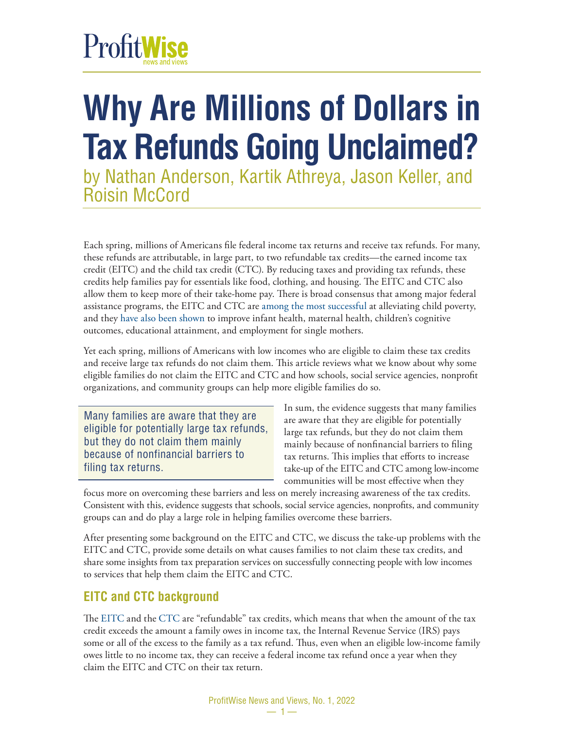## ProfitWise

## **Why Are Millions of Dollars in Tax Refunds Going Unclaimed?**

by Nathan Anderson, Kartik Athreya, Jason Keller, and Roisin McCord

Each spring, millions of Americans file federal income tax returns and receive tax refunds. For many, these refunds are attributable, in large part, to two refundable tax credits—the earned income tax credit (EITC) and the child tax credit (CTC). By reducing taxes and providing tax refunds, these credits help families pay for essentials like food, clothing, and housing. The EITC and CTC also allow them to keep more of their take-home pay. There is broad consensus that among major federal assistance programs, the EITC and CTC are [among the most successful](https://www.aei.org/research-products/report/the-tax-benefits-of-parenthood-a-history-and-analysis-of-current-proposals/) at alleviating child poverty, and they [have also been shown](https://www.nber.org/papers/w22080) to improve infant health, maternal health, children's cognitive outcomes, educational attainment, and employment for single mothers.

Yet each spring, millions of Americans with low incomes who are eligible to claim these tax credits and receive large tax refunds do not claim them. This article reviews what we know about why some eligible families do not claim the EITC and CTC and how schools, social service agencies, nonprofit organizations, and community groups can help more eligible families do so.

Many families are aware that they are eligible for potentially large tax refunds, but they do not claim them mainly because of nonfinancial barriers to filing tax returns.

In sum, the evidence suggests that many families are aware that they are eligible for potentially large tax refunds, but they do not claim them mainly because of nonfinancial barriers to filing tax returns. This implies that efforts to increase take-up of the EITC and CTC among low-income communities will be most effective when they

focus more on overcoming these barriers and less on merely increasing awareness of the tax credits. Consistent with this, evidence suggests that schools, social service agencies, nonprofits, and community groups can and do play a large role in helping families overcome these barriers.

After presenting some background on the EITC and CTC, we discuss the take-up problems with the EITC and CTC, provide some details on what causes families to not claim these tax credits, and share some insights from tax preparation services on successfully connecting people with low incomes to services that help them claim the EITC and CTC.

#### **EITC and CTC background**

The [EITC](https://irc.bloombergtax.com/public/uscode/doc/irc/section_32#:~:text=I.R.C.%20%C2%A7%2032%20%28a%29%20%281%29%20In%20General%20%E2%80%94,as%20does%20not%20exceed%20the%20earned%20income%20amount) and the [CTC](https://irc.bloombergtax.com/public/uscode/doc/irc/section_24#:~:text=Sec.%2024.%20Child%20Tax%20Credit%20I.R.C.%20%C2%A7%2024,under%20section%20151%20an%20amount%20equal%20to%20%241%2C000) are "refundable" tax credits, which means that when the amount of the tax credit exceeds the amount a family owes in income tax, the Internal Revenue Service (IRS) pays some or all of the excess to the family as a tax refund. Thus, even when an eligible low-income family owes little to no income tax, they can receive a federal income tax refund once a year when they claim the EITC and CTC on their tax return.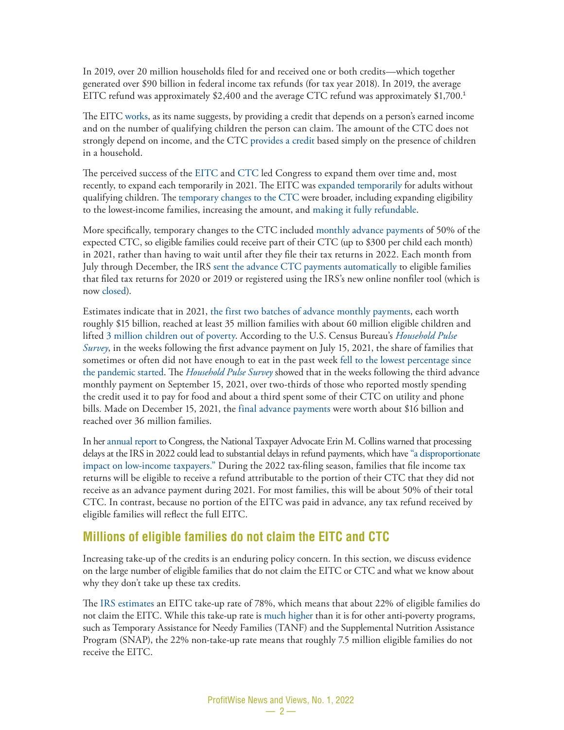In 2019, over 20 million households filed for and received one or both credits—which together generated over \$90 billion in federal income tax refunds (for tax year 2018). In 2019, the average EITC refund was approximately \$2,400 and the average CTC refund was approximately \$1,700.<sup>1</sup>

The EITC [works](https://www.irs.gov/credits-deductions/individuals/earned-income-tax-credit-eitc), as its name suggests, by providing a credit that depends on a person's earned income and on the number of qualifying children the person can claim. The amount of the CTC does not strongly depend on income, and the CTC [provides a credit](https://www.irs.gov/newsroom/2021-child-tax-credit-and-advance-child-tax-credit-payments-resources-and-guidance) based simply on the presence of children in a household.

The perceived success of the [EITC](https://sgp.fas.org/crs/misc/R44825.pdf) and [CTC](https://crsreports.congress.gov/product/pdf/R/R45124/4) led Congress to expand them over time and, most recently, to expand each temporarily in 2021. The EITC was [expanded temporarily](https://crsreports.congress.gov/product/pdf/IN/IN11610) for adults without qualifying children. The [temporary changes to the CTC](https://crsreports.congress.gov/product/pdf/IN/IN11613) were broader, including expanding eligibility to the lowest-income families, increasing the amount, and [making it fully refundable.](https://www.chicagofed.org/publications/blogs/cdps/2021/advance-child-tax-credit-payments)

More specifically, temporary changes to the CTC included [monthly advance payments](https://www.irs.gov/credits-deductions/advance-child-tax-credit-payments-in-2021) of 50% of the expected CTC, so eligible families could receive part of their CTC (up to \$300 per child each month) in 2021, rather than having to wait until after they file their tax returns in 2022. Each month from July through December, the IRS [sent the advance CTC payments automatically](https://www.irs.gov/credits-deductions/2021-child-tax-credit-and-advance-child-tax-credit-payments-topic-e-advance-payment-process-of-the-child-tax-credit) to eligible families that filed tax returns for 2020 or 2019 or registered using the IRS's new online nonfiler tool (which is now [closed\)](https://www.irs.gov/coronavirus/non-filers-enter-payment-info-here).

Estimates indicate that in 2021, [the first two batches of advance monthly payments](https://home.treasury.gov/news/press-releases/jy0322), each worth roughly \$15 billion, reached at least 35 million families with about 60 million eligible children and lifted [3 million children out of poverty](https://static1.squarespace.com/static/610831a16c95260dbd68934a/t/61f946b1cb0bb75fd2ca03ad/1643726515657/Child-Tax-Credit-Research-Roundup-CPSP-2021.pdf). According to the U.S. Census Bureau's *[Household Pulse](https://www.census.gov/data/tables/2021/demo/hhp/hhp34.html)  [Survey](https://www.census.gov/data/tables/2021/demo/hhp/hhp34.html)*, in the weeks following the first advance payment on July 15, 2021, the share of families that sometimes or often did not have enough to eat in the past week [fell to the lowest percentage since](https://home.treasury.gov/news/press-releases/jy0322)  [the pandemic started.](https://home.treasury.gov/news/press-releases/jy0322) The *[Household Pulse Survey](https://www.census.gov/data/tables/2021/demo/hhp/hhp38.html)* showed that in the weeks following the third advance monthly payment on September 15, 2021, over two-thirds of those who reported mostly spending the credit used it to pay for food and about a third spent some of their CTC on utility and phone bills. Made on December 15, 2021, the [final advance payments](https://www.irs.gov/newsroom/families-will-soon-receive-their-december-advance-child-tax-credit-payment-those-not-receiving-payments-may-claim-any-missed-payments-on-the-upcoming-2021-tax-return) were worth about \$16 billion and reached over 36 million families.

In her [annual report](https://www.taxpayeradvocate.irs.gov/wp-content/uploads/2022/01/ARC21_ExecSummary.pdf) to Congress, the National Taxpayer Advocate Erin M. Collins warned that processing delays at the IRS in 2022 could lead to substantial delays in refund payments, which have ["a disproportionate](https://www.taxpayeradvocate.irs.gov/wp-content/uploads/2022/01/IR-22-11.pdf) [impact on low-income taxpayers."](https://www.taxpayeradvocate.irs.gov/wp-content/uploads/2022/01/IR-22-11.pdf) During the 2022 tax-filing season, families that file income tax returns will be eligible to receive a refund attributable to the portion of their CTC that they did not receive as an advance payment during 2021. For most families, this will be about 50% of their total CTC. In contrast, because no portion of the EITC was paid in advance, any tax refund received by eligible families will reflect the full EITC.

#### **Millions of eligible families do not claim the EITC and CTC**

Increasing take-up of the credits is an enduring policy concern. In this section, we discuss evidence on the large number of eligible families that do not claim the EITC or CTC and what we know about why they don't take up these tax credits.

The [IRS estimates](https://www.eitc.irs.gov/eitc-central/participation-rate/eitc-participation-rate-by-states) an EITC take-up rate of 78%, which means that about 22% of eligible families do not claim the EITC. While this take-up rate is [much higher](https://www.nber.org/papers/w21211) than it is for other anti-poverty programs, such as Temporary Assistance for Needy Families (TANF) and the Supplemental Nutrition Assistance Program (SNAP), the 22% non-take-up rate means that roughly 7.5 million eligible families do not receive the EITC.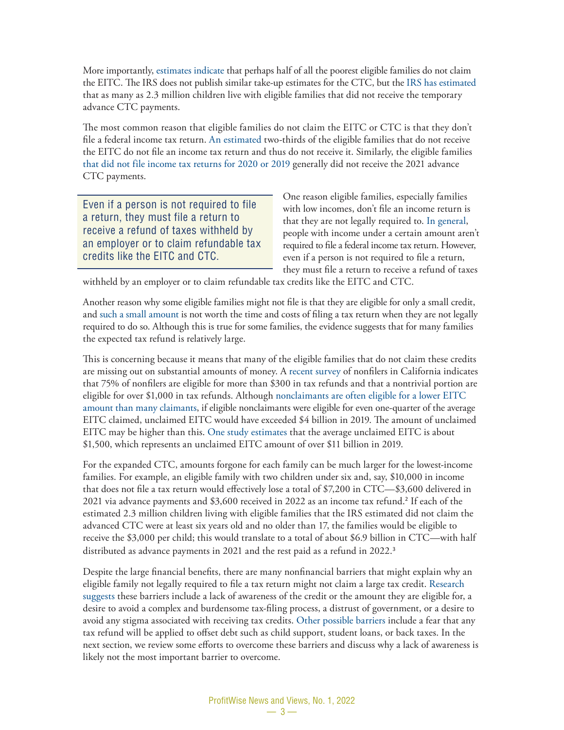More importantly, [estimates indicate](https://www.nber.org/papers/w21211) that perhaps half of all the poorest eligible families do not claim the EITC. The IRS does not publish similar take-up estimates for the CTC, but the [IRS has estimated](https://www.chicagofed.org/publications/blogs/cdps/2021/advance-child-tax-credit-payments) that as many as 2.3 million children live with eligible families that did not receive the temporary advance CTC payments.

The most common reason that eligible families do not claim the EITC or CTC is that they don't file a federal income tax return. [An estimated](https://www.law.nyu.edu/sites/default/files/upload_documents/Tax%20Benefit%20Complexity%20and%20Take-Up%20-%20Goldin.pdf) two-thirds of the eligible families that do not receive the EITC do not file an income tax return and thus do not receive it. Similarly, the eligible families [that did not file income tax returns for 2020 or 201](https://www.chicagofed.org/publications/blogs/cdps/2021/advance-child-tax-credit-payments)9 generally did not receive the 2021 advance CTC payments.

Even if a person is not required to file a return, they must file a return to receive a refund of taxes withheld by an employer or to claim refundable tax credits like the EITC and CTC.

One reason eligible families, especially families with low incomes, don't file an income return is that they are not legally required to. [In general,](https://www.irs.gov/pub/irs-pdf/i1040gi.pdf) people with income under a certain amount aren't required to file a federal income tax return. However, even if a person is not required to file a return, they must file a return to receive a refund of taxes

withheld by an employer or to claim refundable tax credits like the EITC and CTC.

Another reason why some eligible families might not file is that they are eligible for only a small credit, and [such a small amount](https://www.semanticscholar.org/paper/The-Nonparticipation-Problem%3A-Behavioral-Economics-Alba/14602d5a2a186f5a51b98dff4a270c8cd96f64eb) is not worth the time and costs of filing a tax return when they are not legally required to do so. Although this is true for some families, the evidence suggests that for many families the expected tax refund is relatively large.

This is concerning because it means that many of the eligible families that do not claim these credits are missing out on substantial amounts of money. A [recent survey](https://www.capolicylab.org/wp-content/uploads/2020/05/Increasing-TakeUp-of-the-Earned-Income-Tax-Credit.pdf) of nonfilers in California indicates that 75% of nonfilers are eligible for more than \$300 in tax refunds and that a nontrivial portion are eligible for over \$1,000 in tax refunds. Although [nonclaimants are often eligible for a lower EITC](https://www.irs.gov/pub/irs-soi/09resconeitcpart.pdf)  [amount than many claimants,](https://www.irs.gov/pub/irs-soi/09resconeitcpart.pdf) if eligible nonclaimants were eligible for even one-quarter of the average EITC claimed, unclaimed EITC would have exceeded \$4 billion in 2019. The amount of unclaimed EITC may be higher than this. [One study estimates](https://www.law.nyu.edu/sites/default/files/upload_documents/Tax%20Benefit%20Complexity%20and%20Take-Up%20-%20Goldin.pdf) that the average unclaimed EITC is about \$1,500, which represents an unclaimed EITC amount of over \$11 billion in 2019.

For the expanded CTC, amounts forgone for each family can be much larger for the lowest-income families. For example, an eligible family with two children under six and, say, \$10,000 in income that does not file a tax return would effectively lose a total of \$7,200 in CTC—\$3,600 delivered in 2021 via advance payments and \$3,600 received in 2022 as an income tax refund.<sup>2</sup> If each of the estimated 2.3 million children living with eligible families that the IRS estimated did not claim the advanced CTC were at least six years old and no older than 17, the families would be eligible to receive the \$3,000 per child; this would translate to a total of about \$6.9 billion in CTC—with half distributed as advance payments in 2021 and the rest paid as a refund in 2022.<sup>3</sup>

Despite the large financial benefits, there are many nonfinancial barriers that might explain why an eligible family not legally required to file a tax return might not claim a large tax credit. [Research](https://www.nber.org/papers/w28086)  [suggests](https://www.nber.org/papers/w28086) these barriers include a lack of awareness of the credit or the amount they are eligible for, a desire to avoid a complex and burdensome tax-filing process, a distrust of government, or a desire to avoid any stigma associated with receiving tax credits. [Other possible barriers](https://www.law.nyu.edu/sites/default/files/upload_documents/Tax%20Benefit%20Complexity%20and%20Take-Up%20-%20Goldin.pdf) include a fear that any tax refund will be applied to offset debt such as child support, student loans, or back taxes. In the next section, we review some efforts to overcome these barriers and discuss why a lack of awareness is likely not the most important barrier to overcome.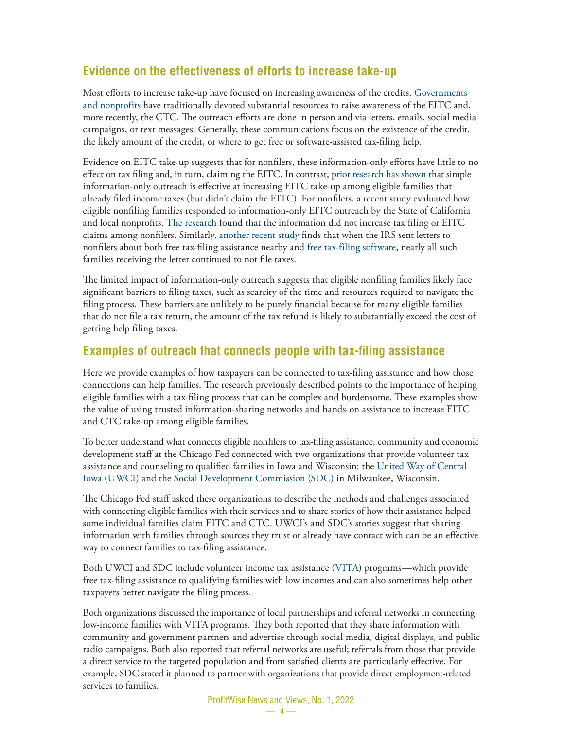#### **Evidence on the effectiveness of efforts to increase take-up**

Most efforts to increase take-up have focused on increasing awareness of the credits. [Governments](https://www.law.nyu.edu/sites/default/files/upload_documents/Tax%20Benefit%20Complexity%20and%20Take-Up%20-%20Goldin.pdf)  [and nonprofits](https://www.law.nyu.edu/sites/default/files/upload_documents/Tax%20Benefit%20Complexity%20and%20Take-Up%20-%20Goldin.pdf) have traditionally devoted substantial resources to raise awareness of the EITC and, more recently, the CTC. The outreach efforts are done in person and via letters, emails, social media campaigns, or text messages. Generally, these communications focus on the existence of the credit, the likely amount of the credit, or where to get free or software-assisted tax-filing help.

Evidence on EITC take-up suggests that for nonfilers, these information-only efforts have little to no effect on tax filing and, in turn, claiming the EITC. In contrast, [prior research has shown](https://clear.dol.gov/study/psychological-frictions-and-incomplete-take-social-benefits-evidence-irs-field-experiment) that simple information-only outreach is effective at increasing EITC take-up among eligible families that already filed income taxes (but didn't claim the EITC). For nonfilers, a recent study evaluated how eligible nonfiling families responded to information-only EITC outreach by the State of California and local nonprofits. [The research](https://www.capolicylab.org/wp-content/uploads/2020/05/Increasing-TakeUp-of-the-Earned-Income-Tax-Credit.pdf) found that the information did not increase tax filing or EITC claims among nonfilers. Similarly, [another recent study](https://www.nber.org/papers/w28398) finds that when the IRS sent letters to nonfilers about both free tax-filing assistance nearby and [free tax-filing software,](https://www.irs.gov/filing/free-file-do-your-federal-taxes-for-free) nearly all such families receiving the letter continued to not file taxes.

The limited impact of information-only outreach suggests that eligible nonfiling families likely face significant barriers to filing taxes, such as scarcity of the time and resources required to navigate the filing process. These barriers are unlikely to be purely financial because for many eligible families that do not file a tax return, the amount of the tax refund is likely to substantially exceed the cost of getting help filing taxes.

#### **Examples of outreach that connects people with tax-filing assistance**

Here we provide examples of how taxpayers can be connected to tax-filing assistance and how those connections can help families. The research previously described points to the importance of helping eligible families with a tax-filing process that can be complex and burdensome. These examples show the value of using trusted information-sharing networks and hands-on assistance to increase EITC and CTC take-up among eligible families.

To better understand what connects eligible nonfilers to tax-filing assistance, community and economic development staff at the Chicago Fed connected with two organizations that provide volunteer tax assistance and counseling to qualified families in Iowa and Wisconsin: the [United Way of Central](https://www.unitedwaydm.org/vita)  [Iowa \(UWCI\)](https://www.unitedwaydm.org/vita) and the [Social Development Commission \(SDC\)](https://www.cr-sdc.org/about/story) in Milwaukee, Wisconsin.

The Chicago Fed staff asked these organizations to describe the methods and challenges associated with connecting eligible families with their services and to share stories of how their assistance helped some individual families claim EITC and CTC. UWCI's and SDC's stories suggest that sharing information with families through sources they trust or already have contact with can be an effective way to connect families to tax-filing assistance.

Both UWCI and SDC include volunteer income tax assistance ([VITA](https://www.irs.gov/individuals/free-tax-return-preparation-for-qualifying-taxpayers)) programs—which provide free tax-filing assistance to qualifying families with low incomes and can also sometimes help other taxpayers better navigate the filing process.

Both organizations discussed the importance of local partnerships and referral networks in connecting low-income families with VITA programs. They both reported that they share information with community and government partners and advertise through social media, digital displays, and public radio campaigns. Both also reported that referral networks are useful; referrals from those that provide a direct service to the targeted population and from satisfied clients are particularly effective. For example, SDC stated it planned to partner with organizations that provide direct employment-related services to families.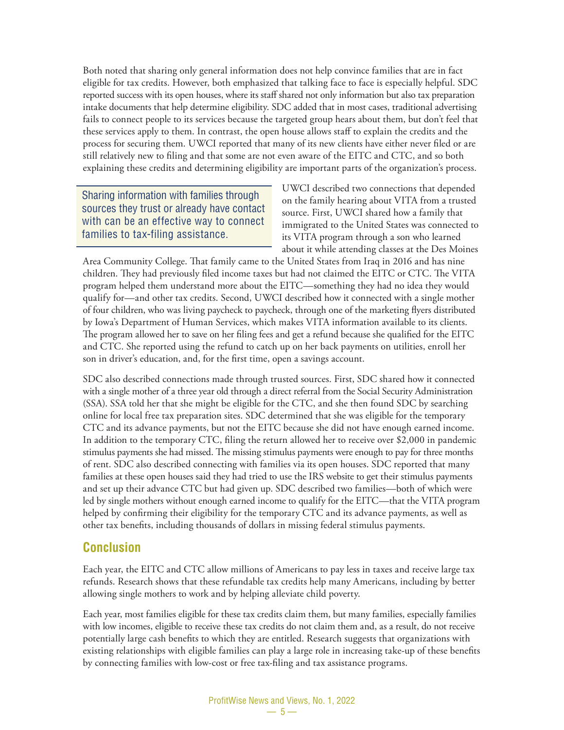Both noted that sharing only general information does not help convince families that are in fact eligible for tax credits. However, both emphasized that talking face to face is especially helpful. SDC reported success with its open houses, where its staff shared not only information but also tax preparation intake documents that help determine eligibility. SDC added that in most cases, traditional advertising fails to connect people to its services because the targeted group hears about them, but don't feel that these services apply to them. In contrast, the open house allows staff to explain the credits and the process for securing them. UWCI reported that many of its new clients have either never filed or are still relatively new to filing and that some are not even aware of the EITC and CTC, and so both explaining these credits and determining eligibility are important parts of the organization's process.

Sharing information with families through sources they trust or already have contact with can be an effective way to connect families to tax-filing assistance.

UWCI described two connections that depended on the family hearing about VITA from a trusted source. First, UWCI shared how a family that immigrated to the United States was connected to its VITA program through a son who learned about it while attending classes at the Des Moines

Area Community College. That family came to the United States from Iraq in 2016 and has nine children. They had previously filed income taxes but had not claimed the EITC or CTC. The VITA program helped them understand more about the EITC—something they had no idea they would qualify for—and other tax credits. Second, UWCI described how it connected with a single mother of four children, who was living paycheck to paycheck, through one of the marketing flyers distributed by Iowa's Department of Human Services, which makes VITA information available to its clients. The program allowed her to save on her filing fees and get a refund because she qualified for the EITC and CTC. She reported using the refund to catch up on her back payments on utilities, enroll her son in driver's education, and, for the first time, open a savings account.

SDC also described connections made through trusted sources. First, SDC shared how it connected with a single mother of a three year old through a direct referral from the Social Security Administration (SSA). SSA told her that she might be eligible for the CTC, and she then found SDC by searching online for local free tax preparation sites. SDC determined that she was eligible for the temporary CTC and its advance payments, but not the EITC because she did not have enough earned income. In addition to the temporary CTC, filing the return allowed her to receive over \$2,000 in pandemic stimulus payments she had missed. The missing stimulus payments were enough to pay for three months of rent. SDC also described connecting with families via its open houses. SDC reported that many families at these open houses said they had tried to use the IRS website to get their stimulus payments and set up their advance CTC but had given up. SDC described two families—both of which were led by single mothers without enough earned income to qualify for the EITC—that the VITA program helped by confirming their eligibility for the temporary CTC and its advance payments, as well as other tax benefits, including thousands of dollars in missing federal stimulus payments.

#### **Conclusion**

Each year, the EITC and CTC allow millions of Americans to pay less in taxes and receive large tax refunds. Research shows that these refundable tax credits help many Americans, including by better allowing single mothers to work and by helping alleviate child poverty.

Each year, most families eligible for these tax credits claim them, but many families, especially families with low incomes, eligible to receive these tax credits do not claim them and, as a result, do not receive potentially large cash benefits to which they are entitled. Research suggests that organizations with existing relationships with eligible families can play a large role in increasing take-up of these benefits by connecting families with low-cost or free tax-filing and tax assistance programs.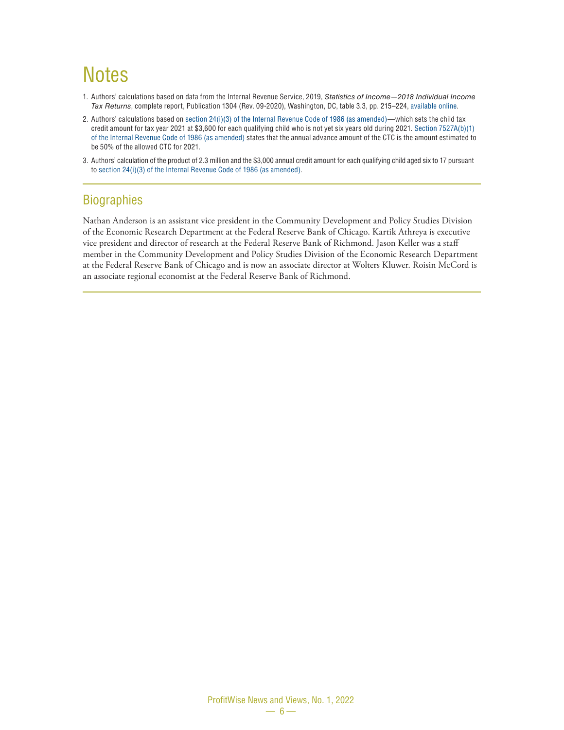### **Notes**

- 1. Authors' calculations based on data from the Internal Revenue Service, 2019, *Statistics of Income—2018 Individual Income Tax Returns*, complete report, Publication 1304 (Rev. 09-2020), Washington, DC, table 3.3, pp. 215–224, [available online](https://www.irs.gov/pub/irs-prior/p1304--2020.pdf).
- 2. Authors' calculations based on [section 24\(i\)\(3\) of the Internal Revenue Code of 1986 \(as amended\)—](https://irc.bloombergtax.com/public/uscode/doc/irc/section_24)which sets the child tax credit amount for tax year 2021 at \$3,600 for each qualifying child who is not yet six years old during 2021. [Section 7527A\(b\)\(1\)](https://irc.bloombergtax.com/public/uscode/doc/irc/section_7527a)  [of the Internal Revenue Code of 1986 \(as amended\)](https://irc.bloombergtax.com/public/uscode/doc/irc/section_7527a) states that the annual advance amount of the CTC is the amount estimated to be 50% of the allowed CTC for 2021.
- 3. Authors' calculation of the product of 2.3 million and the \$3,000 annual credit amount for each qualifying child aged six to 17 pursuant to [section 24\(i\)\(3\) of the Internal Revenue Code of 1986 \(as amended\)](https://irc.bloombergtax.com/public/uscode/doc/irc/section_24).

#### **Biographies**

Nathan Anderson is an assistant vice president in the Community Development and Policy Studies Division of the Economic Research Department at the Federal Reserve Bank of Chicago. Kartik Athreya is executive vice president and director of research at the Federal Reserve Bank of Richmond. Jason Keller was a staff member in the Community Development and Policy Studies Division of the Economic Research Department at the Federal Reserve Bank of Chicago and is now an associate director at Wolters Kluwer. Roisin McCord is an associate regional economist at the Federal Reserve Bank of Richmond.